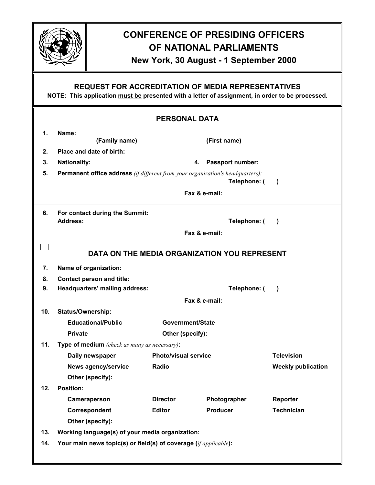

# **CONFERENCE OF PRESIDING OFFICERS OF NATIONAL PARLIAMENTS**

### **New York, 30 August - 1 September 2000**

### **REQUEST FOR ACCREDITATION OF MEDIA REPRESENTATIVES**

**NOTE: This application must be presented with a letter of assignment, in order to be processed.** 

| <b>PERSONAL DATA</b> |                                                                                                                    |                             |                  |                           |  |
|----------------------|--------------------------------------------------------------------------------------------------------------------|-----------------------------|------------------|---------------------------|--|
| 1.                   | Name:                                                                                                              |                             |                  |                           |  |
|                      | (Family name)                                                                                                      |                             | (First name)     |                           |  |
| 2.                   | Place and date of birth:                                                                                           |                             |                  |                           |  |
| 3.                   | <b>Nationality:</b>                                                                                                | Passport number:<br>4.      |                  |                           |  |
| 5.                   | <b>Permanent office address</b> (if different from your organization's headquarters):<br>Telephone: (<br>$\lambda$ |                             |                  |                           |  |
|                      | Fax & e-mail:                                                                                                      |                             |                  |                           |  |
| 6.                   | For contact during the Summit:                                                                                     |                             |                  |                           |  |
|                      | <b>Address:</b>                                                                                                    |                             | Telephone: (     | $\lambda$                 |  |
|                      | Fax & e-mail:                                                                                                      |                             |                  |                           |  |
|                      | DATA ON THE MEDIA ORGANIZATION YOU REPRESENT                                                                       |                             |                  |                           |  |
| 7.                   | Name of organization:                                                                                              |                             |                  |                           |  |
| 8.                   | <b>Contact person and title:</b>                                                                                   |                             |                  |                           |  |
| 9.                   | <b>Headquarters' mailing address:</b>                                                                              |                             | Telephone: (     | $\lambda$                 |  |
|                      | Fax & e-mail:                                                                                                      |                             |                  |                           |  |
| 10.                  | Status/Ownership:                                                                                                  |                             |                  |                           |  |
|                      | <b>Educational/Public</b>                                                                                          |                             | Government/State |                           |  |
|                      | <b>Private</b>                                                                                                     | Other (specify):            |                  |                           |  |
| 11.                  | Type of medium (check as many as necessary):                                                                       |                             |                  |                           |  |
|                      | Daily newspaper                                                                                                    | <b>Photo/visual service</b> |                  | <b>Television</b>         |  |
|                      | <b>News agency/service</b>                                                                                         | Radio                       |                  | <b>Weekly publication</b> |  |
|                      | Other (specify):                                                                                                   |                             |                  |                           |  |
| 12.                  | <b>Position:</b>                                                                                                   |                             |                  |                           |  |
|                      | Cameraperson                                                                                                       | <b>Director</b>             | Photographer     | Reporter                  |  |
|                      | Correspondent                                                                                                      | <b>Editor</b>               | <b>Producer</b>  | <b>Technician</b>         |  |
|                      | Other (specify):                                                                                                   |                             |                  |                           |  |
| 13.                  | Working language(s) of your media organization:                                                                    |                             |                  |                           |  |
| 14.                  | Your main news topic(s) or field(s) of coverage (if applicable):                                                   |                             |                  |                           |  |
|                      |                                                                                                                    |                             |                  |                           |  |